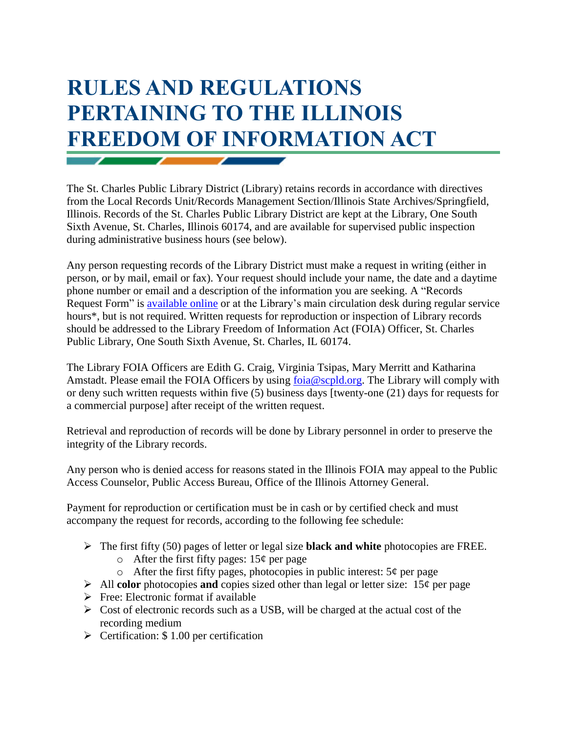## **RULES AND REGULATIONS PERTAINING TO THE ILLINOIS FREEDOM OF INFORMATION ACT**

The St. Charles Public Library District (Library) retains records in accordance with directives from the Local Records Unit/Records Management Section/Illinois State Archives/Springfield, Illinois. Records of the St. Charles Public Library District are kept at the Library, One South Sixth Avenue, St. Charles, Illinois 60174, and are available for supervised public inspection during administrative business hours (see below).

Any person requesting records of the Library District must make a request in writing (either in person, or by mail, email or fax). Your request should include your name, the date and a daytime phone number or email and a description of the information you are seeking. A "Records Request Form" is [available online](https://www.scpld.org/sites/default/files/FOIA_Request_form09.pdf) or at the Library's main circulation desk during regular service hours<sup>\*</sup>, but is not required. Written requests for reproduction or inspection of Library records should be addressed to the Library Freedom of Information Act (FOIA) Officer, St. Charles Public Library, One South Sixth Avenue, St. Charles, IL 60174.

The Library FOIA Officers are Edith G. Craig, Virginia Tsipas, Mary Merritt and Katharina Amstadt. Please email the FOIA Officers by using [foia@scpld.org.](mailto:foia@scpld.org) The Library will comply with or deny such written requests within five (5) business days [twenty-one (21) days for requests for a commercial purpose] after receipt of the written request.

Retrieval and reproduction of records will be done by Library personnel in order to preserve the integrity of the Library records.

Any person who is denied access for reasons stated in the Illinois FOIA may appeal to the Public Access Counselor, Public Access Bureau, Office of the Illinois Attorney General.

Payment for reproduction or certification must be in cash or by certified check and must accompany the request for records, according to the following fee schedule:

- The first fifty (50) pages of letter or legal size **black and white** photocopies are FREE.
	- $\circ$  After the first fifty pages: 15¢ per page
	- $\circ$  After the first fifty pages, photocopies in public interest:  $5¢$  per page
- All **color** photocopies **and** copies sized other than legal or letter size:  $15¢$  per page
- $\triangleright$  Free: Electronic format if available
- $\triangleright$  Cost of electronic records such as a USB, will be charged at the actual cost of the recording medium
- $\triangleright$  Certification: \$1.00 per certification